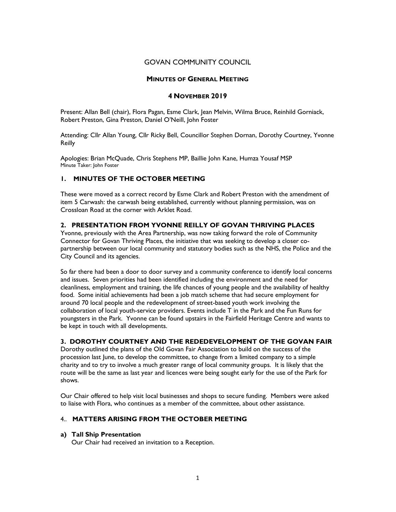# GOVAN COMMUNITY COUNCIL

## MINUTES OF GENERAL MEETING

# 4 NOVEMBER 2019

Present: Allan Bell (chair), Flora Pagan, Esme Clark, Jean Melvin, Wilma Bruce, Reinhild Gorniack, Robert Preston, Gina Preston, Daniel O'Neill, John Foster

Attending: Cllr Allan Young, Cllr Ricky Bell, Councillor Stephen Dornan, Dorothy Courtney, Yvonne Reilly

Apologies: Brian McQuade, Chris Stephens MP, Baillie John Kane, Humza Yousaf MSP Minute Taker: John Foster

# 1. MINUTES OF THE OCTOBER MEETING

These were moved as a correct record by Esme Clark and Robert Preston with the amendment of item 5 Carwash: the carwash being established, currently without planning permission, was on Crossloan Road at the corner with Arklet Road.

# 2. PRESENTATION FROM YVONNE REILLY OF GOVAN THRIVING PLACES

Yvonne, previously with the Area Partnership, was now taking forward the role of Community Connector for Govan Thriving Places, the initiative that was seeking to develop a closer copartnership between our local community and statutory bodies such as the NHS, the Police and the City Council and its agencies.

So far there had been a door to door survey and a community conference to identify local concerns and issues. Seven priorities had been identified including the environment and the need for cleanliness, employment and training, the life chances of young people and the availability of healthy food. Some initial achievements had been a job match scheme that had secure employment for around 70 local people and the redevelopment of street-based youth work involving the collaboration of local youth-service providers. Events include T in the Park and the Fun Runs for youngsters in the Park. Yvonne can be found upstairs in the Fairfield Heritage Centre and wants to be kept in touch with all developments.

# 3. DOROTHY COURTNEY AND THE REDEDEVELOPMENT OF THE GOVAN FAIR

Dorothy outlined the plans of the Old Govan Fair Association to build on the success of the procession last June, to develop the committee, to change from a limited company to a simple charity and to try to involve a much greater range of local community groups. It is likely that the route will be the same as last year and licences were being sought early for the use of the Park for shows.

Our Chair offered to help visit local businesses and shops to secure funding. Members were asked to liaise with Flora, who continues as a member of the committee, about other assistance.

# 4.. MATTERS ARISING FROM THE OCTOBER MEETING

#### a) Tall Ship Presentation

Our Chair had received an invitation to a Reception.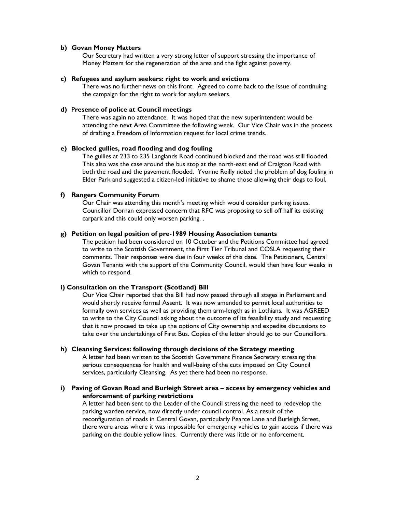#### b) Govan Money Matters

Our Secretary had written a very strong letter of support stressing the importance of Money Matters for the regeneration of the area and the fight against poverty.

#### c) Refugees and asylum seekers: right to work and evictions

There was no further news on this front. Agreed to come back to the issue of continuing the campaign for the right to work for asylum seekers.

# d) Presence of police at Council meetings

There was again no attendance. It was hoped that the new superintendent would be attending the next Area Committee the following week. Our Vice Chair was in the process of drafting a Freedom of Information request for local crime trends.

## e) Blocked gullies, road flooding and dog fouling

The gullies at 233 to 235 Langlands Road continued blocked and the road was still flooded. This also was the case around the bus stop at the north-east end of Craigton Road with both the road and the pavement flooded. Yvonne Reilly noted the problem of dog fouling in Elder Park and suggested a citizen-led initiative to shame those allowing their dogs to foul.

#### f) Rangers Community Forum

Our Chair was attending this month's meeting which would consider parking issues. Councillor Dornan expressed concern that RFC was proposing to sell off half its existing carpark and this could only worsen parking. .

### g) Petition on legal position of pre-1989 Housing Association tenants

The petition had been considered on 10 October and the Petitions Committee had agreed to write to the Scottish Government, the First Tier Tribunal and COSLA requesting their comments. Their responses were due in four weeks of this date. The Petitioners, Central Govan Tenants with the support of the Community Council, would then have four weeks in which to respond.

## i) Consultation on the Transport (Scotland) Bill

Our Vice Chair reported that the Bill had now passed through all stages in Parliament and would shortly receive formal Assent. It was now amended to permit local authorities to formally own services as well as providing them arm-length as in Lothians. It was AGREED to write to the City Council asking about the outcome of its feasibility study and requesting that it now proceed to take up the options of City ownership and expedite discussions to take over the undertakings of First Bus. Copies of the letter should go to our Councillors.

### h) Cleansing Services: following through decisions of the Strategy meeting

A letter had been written to the Scottish Government Finance Secretary stressing the serious consequences for health and well-being of the cuts imposed on City Council services, particularly Cleansing. As yet there had been no response.

i) Paving of Govan Road and Burleigh Street area – access by emergency vehicles and enforcement of parking restrictions

A letter had been sent to the Leader of the Council stressing the need to redevelop the parking warden service, now directly under council control. As a result of the reconfiguration of roads in Central Govan, particularly Pearce Lane and Burleigh Street, there were areas where it was impossible for emergency vehicles to gain access if there was parking on the double yellow lines. Currently there was little or no enforcement.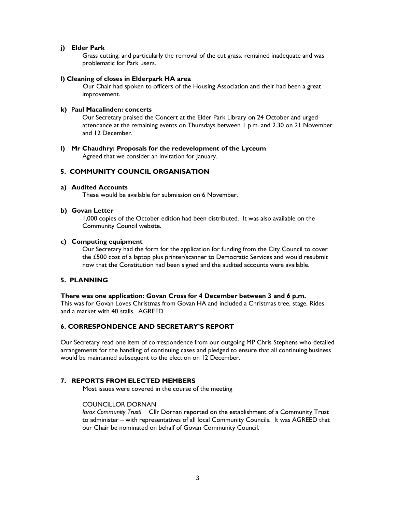# j) Elder Park

Grass cutting, and particularly the removal of the cut grass, remained inadequate and was problematic for Park users.

#### l) Cleaning of closes in Elderpark HA area

Our Chair had spoken to officers of the Housing Association and their had been a great improvement.

### k) Paul Macalinden: concerts

Our Secretary praised the Concert at the Elder Park Library on 24 October and urged attendance at the remaining events on Thursdays between 1 p.m. and 2.30 on 21 November and 12 December.

# l) Mr Chaudhry: Proposals for the redevelopment of the Lyceum

Agreed that we consider an invitation for January.

# 5. COMMUNITY COUNCIL ORGANISATION

#### a) Audited Accounts

These would be available for submission on 6 November.

# b) Govan Letter

1,000 copies of the October edition had been distributed. It was also available on the Community Council website.

#### c) Computing equipment

Our Secretary had the form for the application for funding from the City Council to cover the £500 cost of a laptop plus printer/scanner to Democratic Services and would resubmit now that the Constitution had been signed and the audited accounts were available.

# 5. PLANNING

#### There was one application: Govan Cross for 4 December between 3 and 6 p.m.

This was for Govan Loves Christmas from Govan HA and included a Christmas tree, stage, Rides and a market with 40 stalls. AGREED

# 6. CORRESPONDENCE AND SECRETARY'S REPORT

Our Secretary read one item of correspondence from our outgoing MP Chris Stephens who detailed arrangements for the handling of continuing cases and pledged to ensure that all continuing business would be maintained subsequent to the election on 12 December.

# 7. REPORTS FROM ELECTED MEMBERS

Most issues were covered in the course of the meeting

# COUNCILLOR DORNAN

Ibrox Community Trustl Cllr Dornan reported on the establishment of a Community Trust to administer – with representatives of all local Community Councils. It was AGREED that our Chair be nominated on behalf of Govan Community Council.